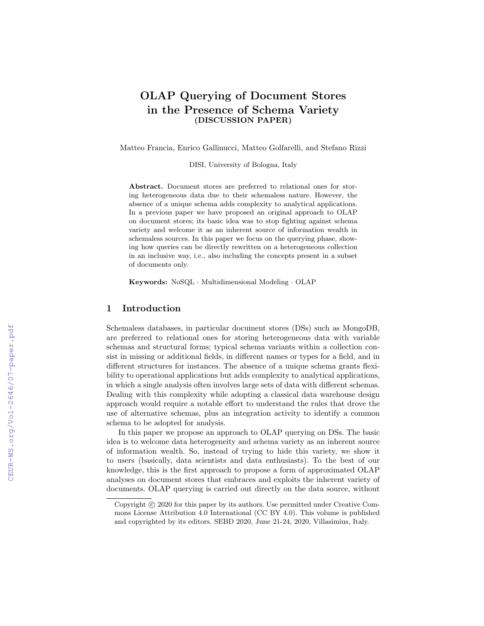# OLAP Querying of Document Stores in the Presence of Schema Variety (DISCUSSION PAPER)

Matteo Francia, Enrico Gallinucci, Matteo Golfarelli, and Stefano Rizzi

DISI, University of Bologna, Italy

Abstract. Document stores are preferred to relational ones for storing heterogeneous data due to their schemaless nature. However, the absence of a unique schema adds complexity to analytical applications. In a previous paper we have proposed an original approach to OLAP on document stores; its basic idea was to stop fighting against schema variety and welcome it as an inherent source of information wealth in schemaless sources. In this paper we focus on the querying phase, showing how queries can be directly rewritten on a heterogeneous collection in an inclusive way, i.e., also including the concepts present in a subset of documents only.

Keywords: NoSQL · Multidimensional Modeling · OLAP

#### 1 Introduction

Schemaless databases, in particular document stores (DSs) such as MongoDB, are preferred to relational ones for storing heterogeneous data with variable schemas and structural forms; typical schema variants within a collection consist in missing or additional fields, in different names or types for a field, and in different structures for instances. The absence of a unique schema grants flexibility to operational applications but adds complexity to analytical applications, in which a single analysis often involves large sets of data with different schemas. Dealing with this complexity while adopting a classical data warehouse design approach would require a notable effort to understand the rules that drove the use of alternative schemas, plus an integration activity to identify a common schema to be adopted for analysis.

In this paper we propose an approach to OLAP querying on DSs. The basic idea is to welcome data heterogeneity and schema variety as an inherent source of information wealth. So, instead of trying to hide this variety, we show it to users (basically, data scientists and data enthusiasts). To the best of our knowledge, this is the first approach to propose a form of approximated OLAP analyses on document stores that embraces and exploits the inherent variety of documents. OLAP querying is carried out directly on the data source, without

Copyright  $\odot$  2020 for this paper by its authors. Use permitted under Creative Commons License Attribution 4.0 International (CC BY 4.0). This volume is published and copyrighted by its editors. SEBD 2020, June 21-24, 2020, Villasimius, Italy.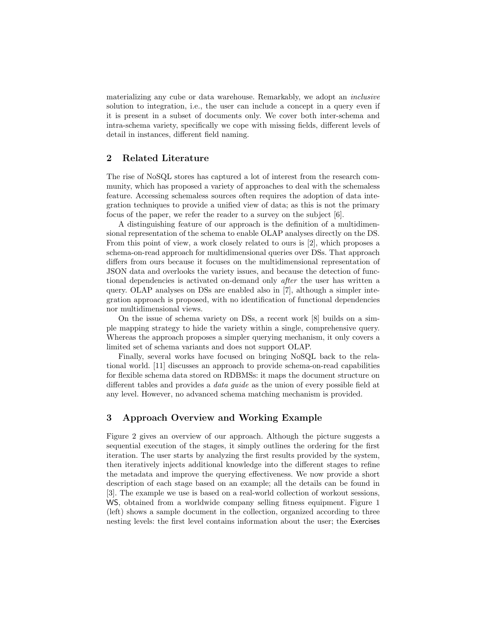materializing any cube or data warehouse. Remarkably, we adopt an inclusive solution to integration, i.e., the user can include a concept in a query even if it is present in a subset of documents only. We cover both inter-schema and intra-schema variety, specifically we cope with missing fields, different levels of detail in instances, different field naming.

## 2 Related Literature

The rise of NoSQL stores has captured a lot of interest from the research community, which has proposed a variety of approaches to deal with the schemaless feature. Accessing schemaless sources often requires the adoption of data integration techniques to provide a unified view of data; as this is not the primary focus of the paper, we refer the reader to a survey on the subject [6].

A distinguishing feature of our approach is the definition of a multidimensional representation of the schema to enable OLAP analyses directly on the DS. From this point of view, a work closely related to ours is [2], which proposes a schema-on-read approach for multidimensional queries over DSs. That approach differs from ours because it focuses on the multidimensional representation of JSON data and overlooks the variety issues, and because the detection of functional dependencies is activated on-demand only after the user has written a query. OLAP analyses on DSs are enabled also in [7], although a simpler integration approach is proposed, with no identification of functional dependencies nor multidimensional views.

On the issue of schema variety on DSs, a recent work [8] builds on a simple mapping strategy to hide the variety within a single, comprehensive query. Whereas the approach proposes a simpler querying mechanism, it only covers a limited set of schema variants and does not support OLAP.

Finally, several works have focused on bringing NoSQL back to the relational world. [11] discusses an approach to provide schema-on-read capabilities for flexible schema data stored on RDBMSs: it maps the document structure on different tables and provides a *data guide* as the union of every possible field at any level. However, no advanced schema matching mechanism is provided.

## 3 Approach Overview and Working Example

Figure 2 gives an overview of our approach. Although the picture suggests a sequential execution of the stages, it simply outlines the ordering for the first iteration. The user starts by analyzing the first results provided by the system, then iteratively injects additional knowledge into the different stages to refine the metadata and improve the querying effectiveness. We now provide a short description of each stage based on an example; all the details can be found in [3]. The example we use is based on a real-world collection of workout sessions, WS, obtained from a worldwide company selling fitness equipment. Figure 1 (left) shows a sample document in the collection, organized according to three nesting levels: the first level contains information about the user; the Exercises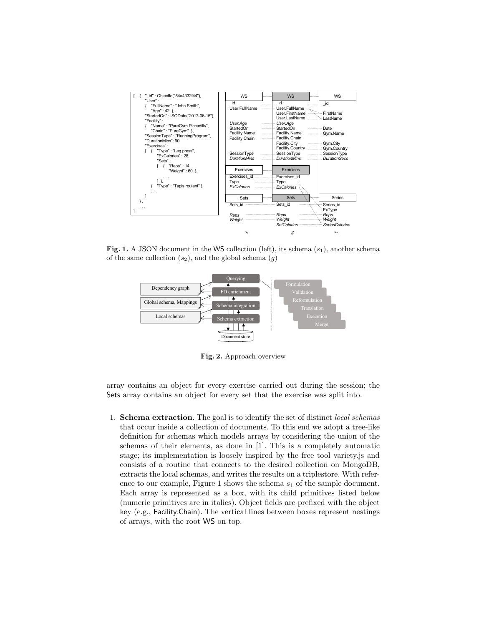

Fig. 1. A JSON document in the WS collection (left), its schema  $(s_1)$ , another schema of the same collection  $(s_2)$ , and the global schema  $(g)$ 



Fig. 2. Approach overview

array contains an object for every exercise carried out during the session; the Sets array contains an object for every set that the exercise was split into.

1. Schema extraction. The goal is to identify the set of distinct local schemas that occur inside a collection of documents. To this end we adopt a tree-like definition for schemas which models arrays by considering the union of the schemas of their elements, as done in [1]. This is a completely automatic stage; its implementation is loosely inspired by the free tool variety.js and consists of a routine that connects to the desired collection on MongoDB, extracts the local schemas, and writes the results on a triplestore. With reference to our example, Figure 1 shows the schema  $s<sub>1</sub>$  of the sample document. Each array is represented as a box, with its child primitives listed below (numeric primitives are in italics). Object fields are prefixed with the object key (e.g., Facility.Chain). The vertical lines between boxes represent nestings of arrays, with the root WS on top.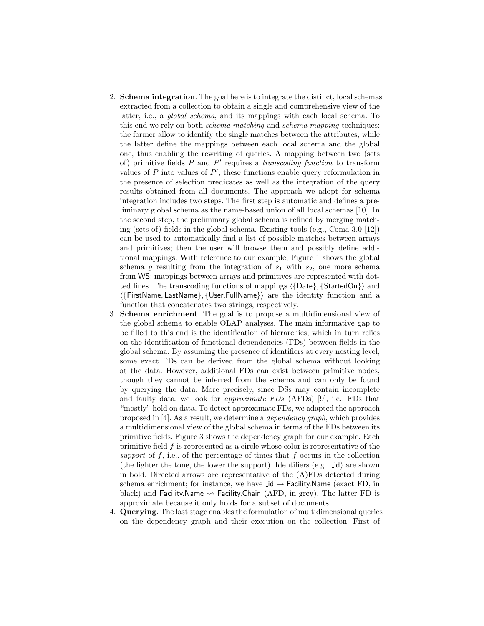- 2. Schema integration. The goal here is to integrate the distinct, local schemas extracted from a collection to obtain a single and comprehensive view of the latter, i.e., a global schema, and its mappings with each local schema. To this end we rely on both schema matching and schema mapping techniques: the former allow to identify the single matches between the attributes, while the latter define the mappings between each local schema and the global one, thus enabling the rewriting of queries. A mapping between two (sets of) primitive fields  $P$  and  $P'$  requires a transcoding function to transform values of  $P$  into values of  $P'$ ; these functions enable query reformulation in the presence of selection predicates as well as the integration of the query results obtained from all documents. The approach we adopt for schema integration includes two steps. The first step is automatic and defines a preliminary global schema as the name-based union of all local schemas [10]. In the second step, the preliminary global schema is refined by merging matching (sets of) fields in the global schema. Existing tools (e.g., Coma 3.0 [12]) can be used to automatically find a list of possible matches between arrays and primitives; then the user will browse them and possibly define additional mappings. With reference to our example, Figure 1 shows the global schema g resulting from the integration of  $s_1$  with  $s_2$ , one more schema from WS; mappings between arrays and primitives are represented with dotted lines. The transcoding functions of mappings  $\langle$  [Date},  $\{StateOn\}\rangle$  and h{FirstName, LastName}, {User.FullName}i are the identity function and a function that concatenates two strings, respectively.
- 3. Schema enrichment. The goal is to propose a multidimensional view of the global schema to enable OLAP analyses. The main informative gap to be filled to this end is the identification of hierarchies, which in turn relies on the identification of functional dependencies (FDs) between fields in the global schema. By assuming the presence of identifiers at every nesting level, some exact FDs can be derived from the global schema without looking at the data. However, additional FDs can exist between primitive nodes, though they cannot be inferred from the schema and can only be found by querying the data. More precisely, since DSs may contain incomplete and faulty data, we look for approximate FDs (AFDs) [9], i.e., FDs that "mostly" hold on data. To detect approximate FDs, we adapted the approach proposed in [4]. As a result, we determine a dependency graph, which provides a multidimensional view of the global schema in terms of the FDs between its primitive fields. Figure 3 shows the dependency graph for our example. Each primitive field f is represented as a circle whose color is representative of the support of  $f$ , i.e., of the percentage of times that  $f$  occurs in the collection (the lighter the tone, the lower the support). Identifiers  $(e.g., \text{ id})$  are shown in bold. Directed arrows are representative of the (A)FDs detected during schema enrichment; for instance, we have  $id \rightarrow$  Facility.Name (exact FD, in black) and Facility.Name  $\rightarrow$  Facility.Chain (AFD, in grey). The latter FD is approximate because it only holds for a subset of documents.
- 4. Querying. The last stage enables the formulation of multidimensional queries on the dependency graph and their execution on the collection. First of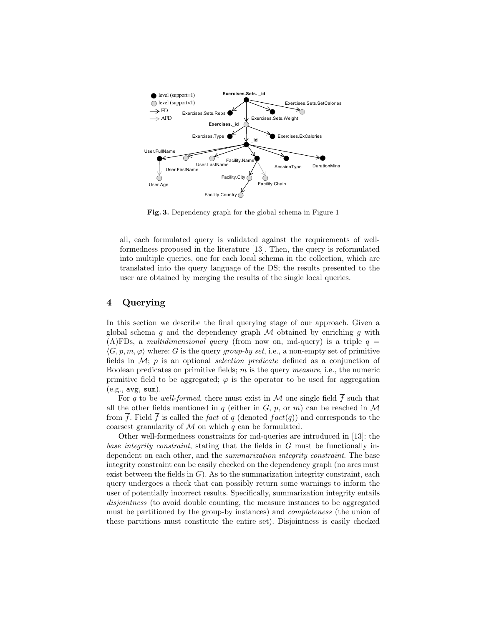

Fig. 3. Dependency graph for the global schema in Figure 1

all, each formulated query is validated against the requirements of wellformedness proposed in the literature [13]. Then, the query is reformulated into multiple queries, one for each local schema in the collection, which are translated into the query language of the DS; the results presented to the user are obtained by merging the results of the single local queries.

## 4 Querying

In this section we describe the final querying stage of our approach. Given a global schema g and the dependency graph  $M$  obtained by enriching g with (A)FDs, a multidimensional query (from now on, md-query) is a triple  $q =$  $\langle G, p, m, \varphi \rangle$  where: G is the query group-by set, i.e., a non-empty set of primitive fields in  $\mathcal{M}$ ; p is an optional *selection predicate* defined as a conjunction of Boolean predicates on primitive fields;  $m$  is the query *measure*, i.e., the numeric primitive field to be aggregated;  $\varphi$  is the operator to be used for aggregation  $(e.g., avg, sum).$ 

For q to be well-formed, there must exist in  $\mathcal M$  one single field f such that all the other fields mentioned in q (either in  $G, p, \text{ or } m$ ) can be reached in M from  $\overline{f}$ . Field  $\overline{f}$  is called the *fact* of q (denoted *fact*(q)) and corresponds to the coarsest granularity of  $M$  on which  $q$  can be formulated.

Other well-formedness constraints for md-queries are introduced in [13]: the base integrity constraint, stating that the fields in G must be functionally independent on each other, and the *summarization integrity constraint*. The base integrity constraint can be easily checked on the dependency graph (no arcs must exist between the fields in  $G$ ). As to the summarization integrity constraint, each query undergoes a check that can possibly return some warnings to inform the user of potentially incorrect results. Specifically, summarization integrity entails disjointness (to avoid double counting, the measure instances to be aggregated must be partitioned by the group-by instances) and completeness (the union of these partitions must constitute the entire set). Disjointness is easily checked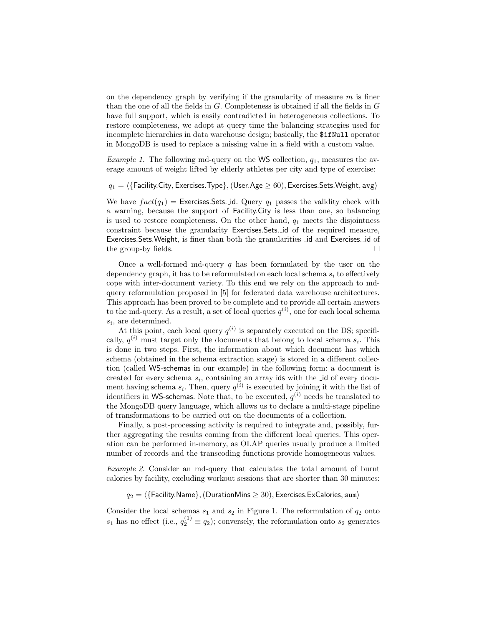on the dependency graph by verifying if the granularity of measure  $m$  is finer than the one of all the fields in G. Completeness is obtained if all the fields in G have full support, which is easily contradicted in heterogeneous collections. To restore completeness, we adopt at query time the balancing strategies used for incomplete hierarchies in data warehouse design; basically, the \$ifNull operator in MongoDB is used to replace a missing value in a field with a custom value.

*Example 1.* The following md-query on the WS collection,  $q_1$ , measures the average amount of weight lifted by elderly athletes per city and type of exercise:

 $q_1 = \langle$  {Facility.City, Exercises.Type},(User.Age  $\geq 60$ ), Exercises.Sets.Weight, avg)

We have  $fact(q_1) =$  Exercises. Sets. id. Query  $q_1$  passes the validity check with a warning, because the support of Facility.City is less than one, so balancing is used to restore completeness. On the other hand,  $q_1$  meets the disjointness constraint because the granularity Exercises.Sets. id of the required measure, Exercises.Sets.Weight, is finer than both the granularities id and Exercises. id of the group-by fields.  $\Box$ 

Once a well-formed md-query  $q$  has been formulated by the user on the dependency graph, it has to be reformulated on each local schema  $s_i$  to effectively cope with inter-document variety. To this end we rely on the approach to mdquery reformulation proposed in [5] for federated data warehouse architectures. This approach has been proved to be complete and to provide all certain answers to the md-query. As a result, a set of local queries  $q^{(i)}$ , one for each local schema  $s_i$ , are determined.

At this point, each local query  $q^{(i)}$  is separately executed on the DS; specifically,  $q^{(i)}$  must target only the documents that belong to local schema  $s_i$ . This is done in two steps. First, the information about which document has which schema (obtained in the schema extraction stage) is stored in a different collection (called WS-schemas in our example) in the following form: a document is created for every schema  $s_i$ , containing an array ids with the  $\Box$ d of every document having schema  $s_i$ . Then, query  $q^{(i)}$  is executed by joining it with the list of identifiers in WS-schemas. Note that, to be executed,  $q^{(i)}$  needs be translated to the MongoDB query language, which allows us to declare a multi-stage pipeline of transformations to be carried out on the documents of a collection.

Finally, a post-processing activity is required to integrate and, possibly, further aggregating the results coming from the different local queries. This operation can be performed in-memory, as OLAP queries usually produce a limited number of records and the transcoding functions provide homogeneous values.

Example 2. Consider an md-query that calculates the total amount of burnt calories by facility, excluding workout sessions that are shorter than 30 minutes:

 $q_2 = \langle \{\text{Facility.Name}\},(\text{DurationMins} \geq 30),\text{Exercises.ExCalories, sum}\rangle$ 

Consider the local schemas  $s_1$  and  $s_2$  in Figure 1. The reformulation of  $q_2$  onto  $s_1$  has no effect (i.e.,  $q_2^{(1)} \equiv q_2$ ); conversely, the reformulation onto  $s_2$  generates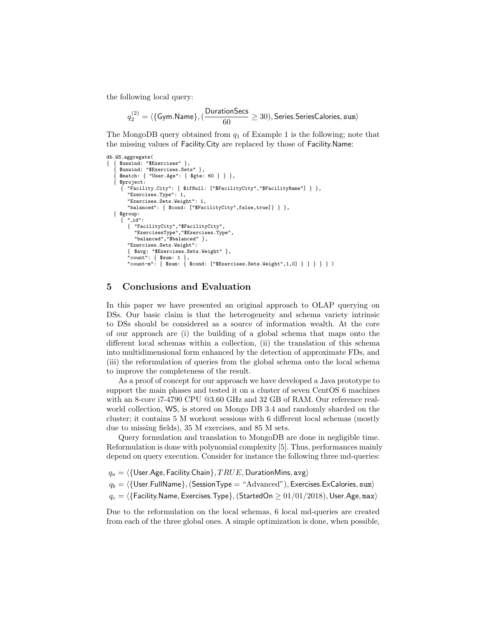the following local query:

$$
q^{(2)}_2 = \langle \{\mathsf{Gym}.\mathsf{Name}\}, (\frac{\mathsf{DurationSecs}}{60} \geq 30), \mathsf{Series}.\mathsf{Series}.\mathsf{Calories}, \mathsf{sum} \rangle
$$

The MongoDB query obtained from  $q_1$  of Example 1 is the following; note that the missing values of Facility.City are replaced by those of Facility.Name:

```
db.WS.aggregate(
  { { $unwind: "$Exercises" },
    { $unwind: "$Exercises.Sets" },
     { $match: { "User.Age": { $gte: 60 } } },
    { $project:
        { "Facility.City": { $ifNull: ["$FacilityCity","$FacilityName"] } },
        "Exercises.Type": 1,
        "Exercises.Sets.Weight": 1,
        "balanced": { $cond: ["$FacilityCity",false,true]} } },
  { $group:
        " id":
        { "FacilityCity","$FacilityCity",
"ExercisesType","$Exercises.Type",
          "balanced","$balanced" },
        "Exercises.Sets.Weight":
        { $avg: "$Exercises.Sets.Weight" },
        "count": { $sum: 1 },
"count-m": { $sum: { $cond: ["$Exercises.Sets.Weight",1,0] } } } } } )
```
### 5 Conclusions and Evaluation

In this paper we have presented an original approach to OLAP querying on DSs. Our basic claim is that the heterogeneity and schema variety intrinsic to DSs should be considered as a source of information wealth. At the core of our approach are (i) the building of a global schema that maps onto the different local schemas within a collection, (ii) the translation of this schema into multidimensional form enhanced by the detection of approximate FDs, and (iii) the reformulation of queries from the global schema onto the local schema to improve the completeness of the result.

As a proof of concept for our approach we have developed a Java prototype to support the main phases and tested it on a cluster of seven CentOS 6 machines with an 8-core i7-4790 CPU @3.60 GHz and 32 GB of RAM. Our reference realworld collection, WS, is stored on Mongo DB 3.4 and randomly sharded on the cluster; it contains 5 M workout sessions with 6 different local schemas (mostly due to missing fields), 35 M exercises, and 85 M sets.

Query formulation and translation to MongoDB are done in negligible time. Reformulation is done with polynomial complexity [5]. Thus, performances mainly depend on query execution. Consider for instance the following three md-queries:

 $q_a = \langle \{\text{User}.\textsf{Age}, \textsf{Facility}.\textsf{Chain}\}, TRUE, \textsf{DurationMins}, \textsf{avg}\rangle$ 

 $q_b = \langle$ {User.FullName},(SessionType = "Advanced"), Exercises.ExCalories, sum)

 $q_c = \langle$  {Facility.Name, Exercises.Type}, (StartedOn  $\geq 01/01/2018$ ), User.Age, max)

Due to the reformulation on the local schemas, 6 local md-queries are created from each of the three global ones. A simple optimization is done, when possible,